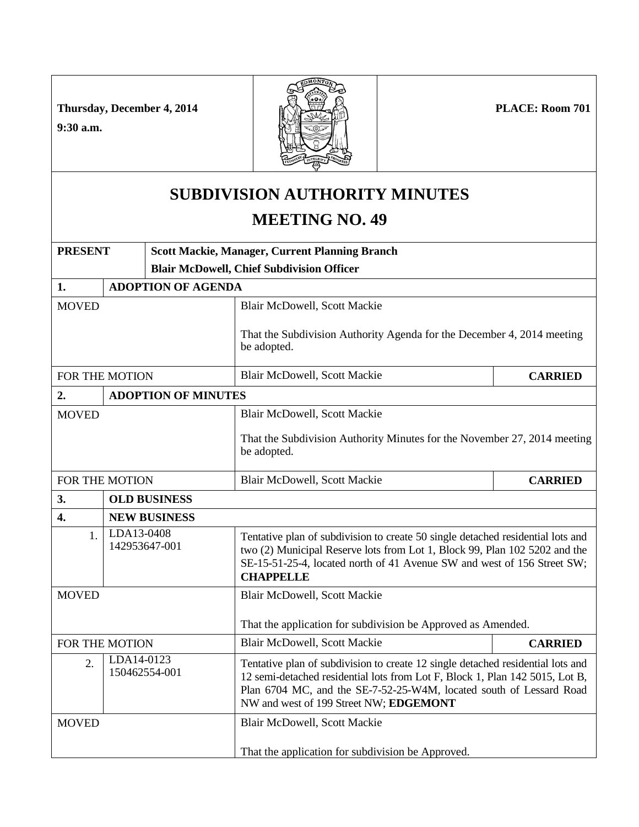**PLACE: Room 701** 

**Thursday, December 4, 2014**

**9:30 a.m.**



## **SUBDIVISION AUTHORITY MINUTES**

## **MEETING NO. 49**

| <b>PRESENT</b>                                  |                            | <b>Scott Mackie, Manager, Current Planning Branch</b> |                                                                                                                                                                                                                                                                                  |                |  |  |
|-------------------------------------------------|----------------------------|-------------------------------------------------------|----------------------------------------------------------------------------------------------------------------------------------------------------------------------------------------------------------------------------------------------------------------------------------|----------------|--|--|
|                                                 |                            |                                                       | <b>Blair McDowell, Chief Subdivision Officer</b>                                                                                                                                                                                                                                 |                |  |  |
| 1.                                              |                            | <b>ADOPTION OF AGENDA</b>                             |                                                                                                                                                                                                                                                                                  |                |  |  |
| <b>MOVED</b>                                    |                            |                                                       | <b>Blair McDowell, Scott Mackie</b>                                                                                                                                                                                                                                              |                |  |  |
|                                                 |                            |                                                       | That the Subdivision Authority Agenda for the December 4, 2014 meeting<br>be adopted.                                                                                                                                                                                            |                |  |  |
| FOR THE MOTION                                  |                            |                                                       | <b>Blair McDowell, Scott Mackie</b>                                                                                                                                                                                                                                              | <b>CARRIED</b> |  |  |
| 2.                                              | <b>ADOPTION OF MINUTES</b> |                                                       |                                                                                                                                                                                                                                                                                  |                |  |  |
| <b>MOVED</b>                                    |                            |                                                       | <b>Blair McDowell, Scott Mackie</b>                                                                                                                                                                                                                                              |                |  |  |
|                                                 |                            |                                                       | That the Subdivision Authority Minutes for the November 27, 2014 meeting<br>be adopted.                                                                                                                                                                                          |                |  |  |
| FOR THE MOTION                                  |                            |                                                       | Blair McDowell, Scott Mackie                                                                                                                                                                                                                                                     | <b>CARRIED</b> |  |  |
| 3.<br><b>OLD BUSINESS</b>                       |                            |                                                       |                                                                                                                                                                                                                                                                                  |                |  |  |
| 4.                                              | <b>NEW BUSINESS</b>        |                                                       |                                                                                                                                                                                                                                                                                  |                |  |  |
| 1.                                              | LDA13-0408                 | 142953647-001                                         | Tentative plan of subdivision to create 50 single detached residential lots and<br>two (2) Municipal Reserve lots from Lot 1, Block 99, Plan 102 5202 and the<br>SE-15-51-25-4, located north of 41 Avenue SW and west of 156 Street SW;<br><b>CHAPPELLE</b>                     |                |  |  |
| <b>MOVED</b>                                    |                            |                                                       | <b>Blair McDowell, Scott Mackie</b>                                                                                                                                                                                                                                              |                |  |  |
|                                                 |                            |                                                       | That the application for subdivision be Approved as Amended.                                                                                                                                                                                                                     |                |  |  |
| FOR THE MOTION                                  |                            |                                                       | <b>Blair McDowell, Scott Mackie</b>                                                                                                                                                                                                                                              | <b>CARRIED</b> |  |  |
| LDA14-0123<br>$\overline{2}$ .<br>150462554-001 |                            |                                                       | Tentative plan of subdivision to create 12 single detached residential lots and<br>12 semi-detached residential lots from Lot F, Block 1, Plan 142 5015, Lot B,<br>Plan 6704 MC, and the SE-7-52-25-W4M, located south of Lessard Road<br>NW and west of 199 Street NW; EDGEMONT |                |  |  |
| <b>MOVED</b>                                    |                            |                                                       | Blair McDowell, Scott Mackie                                                                                                                                                                                                                                                     |                |  |  |
|                                                 |                            |                                                       | That the application for subdivision be Approved.                                                                                                                                                                                                                                |                |  |  |